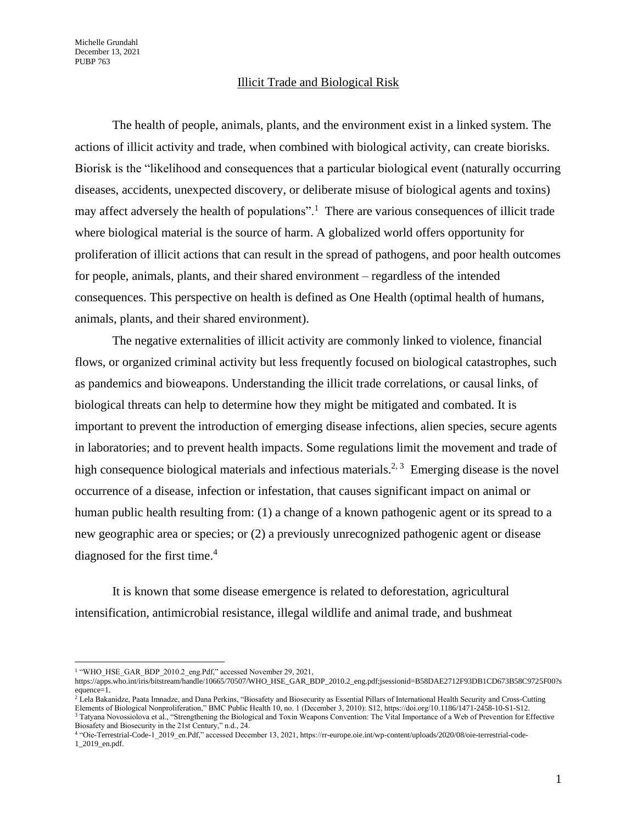## Illicit Trade and Biological Risk

The health of people, animals, plants, and the environment exist in a linked system. The actions of illicit activity and trade, when combined with biological activity, can create biorisks. Biorisk is the "likelihood and consequences that a particular biological event (naturally occurring diseases, accidents, unexpected discovery, or deliberate misuse of biological agents and toxins) may affect adversely the health of populations".<sup>1</sup> There are various consequences of illicit trade where biological material is the source of harm. A globalized world offers opportunity for proliferation of illicit actions that can result in the spread of pathogens, and poor health outcomes for people, animals, plants, and their shared environment – regardless of the intended consequences. This perspective on health is defined as One Health (optimal health of humans, animals, plants, and their shared environment).

The negative externalities of illicit activity are commonly linked to violence, financial flows, or organized criminal activity but less frequently focused on biological catastrophes, such as pandemics and bioweapons. Understanding the illicit trade correlations, or causal links, of biological threats can help to determine how they might be mitigated and combated. It is important to prevent the introduction of emerging disease infections, alien species, secure agents in laboratories; and to prevent health impacts. Some regulations limit the movement and trade of high consequence biological materials and infectious materials.<sup>2, 3</sup> Emerging disease is the novel occurrence of a disease, infection or infestation, that causes significant impact on animal or human public health resulting from: (1) a change of a known pathogenic agent or its spread to a new geographic area or species; or (2) a previously unrecognized pathogenic agent or disease diagnosed for the first time. 4

It is known that some disease emergence is related to deforestation, agricultural intensification, antimicrobial resistance, illegal wildlife and animal trade, and bushmeat

<sup>&</sup>lt;sup>1</sup> "WHO\_HSE\_GAR\_BDP\_2010.2\_eng.Pdf," accessed November 29, 2021,

https://apps.who.int/iris/bitstream/handle/10665/70507/WHO\_HSE\_GAR\_BDP\_2010.2\_eng.pdf;jsessionid=B58DAE2712F93DB1CD673B58C9725F00?s equence=1.

 $^2$  Lela Bakanidze, Paata Imnadze, and Dana Perkins, "Biosafety and Biosecurity as Essential Pillars of International Health Security and Cross-Cutting Elements of Biological Nonproliferation," BMC Public Health 10, no. 1 (December 3, 2010): S12, https://doi.org/10.1186/1471-2458-10-S1-S12. <sup>3</sup> Tatyana Novossiolova et al., "Strengthening the Biological and Toxin Weapons Convention: The Vital Importance of a Web of Prevention for Effective Biosafety and Biosecurity in the 21st Century," n.d., 24.

<sup>4</sup> "Oie-Terrestrial-Code-1\_2019\_en.Pdf," accessed December 13, 2021, https://rr-europe.oie.int/wp-content/uploads/2020/08/oie-terrestrial-code-1\_2019\_en.pdf.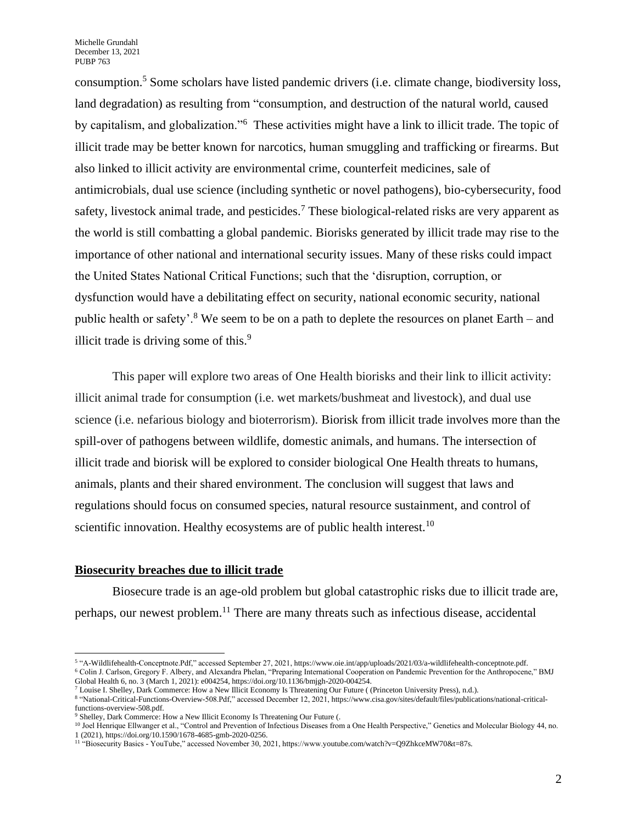consumption.<sup>5</sup> Some scholars have listed pandemic drivers (i.e. climate change, biodiversity loss, land degradation) as resulting from "consumption, and destruction of the natural world, caused by capitalism, and globalization."<sup>6</sup> These activities might have a link to illicit trade. The topic of illicit trade may be better known for narcotics, human smuggling and trafficking or firearms. But also linked to illicit activity are environmental crime, counterfeit medicines, sale of antimicrobials, dual use science (including synthetic or novel pathogens), bio-cybersecurity, food safety, livestock animal trade, and pesticides.<sup>7</sup> These biological-related risks are very apparent as the world is still combatting a global pandemic. Biorisks generated by illicit trade may rise to the importance of other national and international security issues. Many of these risks could impact the United States National Critical Functions; such that the 'disruption, corruption, or dysfunction would have a debilitating effect on security, national economic security, national public health or safety'.<sup>8</sup> We seem to be on a path to deplete the resources on planet Earth – and illicit trade is driving some of this.<sup>9</sup>

This paper will explore two areas of One Health biorisks and their link to illicit activity: illicit animal trade for consumption (i.e. wet markets/bushmeat and livestock), and dual use science (i.e. nefarious biology and bioterrorism). Biorisk from illicit trade involves more than the spill-over of pathogens between wildlife, domestic animals, and humans. The intersection of illicit trade and biorisk will be explored to consider biological One Health threats to humans, animals, plants and their shared environment. The conclusion will suggest that laws and regulations should focus on consumed species, natural resource sustainment, and control of scientific innovation. Healthy ecosystems are of public health interest.<sup>10</sup>

#### **Biosecurity breaches due to illicit trade**

Biosecure trade is an age-old problem but global catastrophic risks due to illicit trade are, perhaps, our newest problem.<sup>11</sup> There are many threats such as infectious disease, accidental

<sup>5</sup> "A-Wildlifehealth-Conceptnote.Pdf," accessed September 27, 2021, https://www.oie.int/app/uploads/2021/03/a-wildlifehealth-conceptnote.pdf. <sup>6</sup> Colin J. Carlson, Gregory F. Albery, and Alexandra Phelan, "Preparing International Cooperation on Pandemic Prevention for the Anthropocene," BMJ Global Health 6, no. 3 (March 1, 2021): e004254, https://doi.org/10.1136/bmjgh-2020-004254.

<sup>7</sup> Louise I. Shelley, Dark Commerce: How a New Illicit Economy Is Threatening Our Future ( (Princeton University Press), n.d.).

<sup>8</sup> "National-Critical-Functions-Overview-508.Pdf," accessed December 12, 2021, https://www.cisa.gov/sites/default/files/publications/national-critical-

functions-overview-508.pdf.

<sup>&</sup>lt;sup>9</sup> Shelley, Dark Commerce: How a New Illicit Economy Is Threatening Our Future (.

<sup>&</sup>lt;sup>10</sup> Joel Henrique Ellwanger et al., "Control and Prevention of Infectious Diseases from a One Health Perspective," Genetics and Molecular Biology 44, no. 1 (2021), https://doi.org/10.1590/1678-4685-gmb-2020-0256.

<sup>11</sup> "Biosecurity Basics - YouTube," accessed November 30, 2021, https://www.youtube.com/watch?v=Q9ZhkceMW70&t=87s.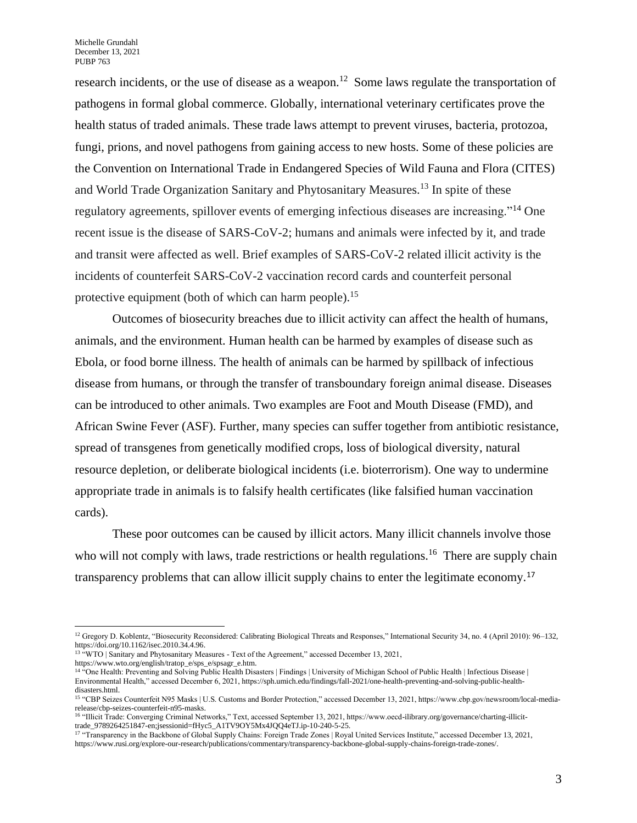research incidents, or the use of disease as a weapon.<sup>12</sup> Some laws regulate the transportation of pathogens in formal global commerce. Globally, international veterinary certificates prove the health status of traded animals. These trade laws attempt to prevent viruses, bacteria, protozoa, fungi, prions, and novel pathogens from gaining access to new hosts. Some of these policies are the Convention on International Trade in Endangered Species of Wild Fauna and Flora (CITES) and World Trade Organization Sanitary and Phytosanitary Measures.<sup>13</sup> In spite of these regulatory agreements, spillover events of emerging infectious diseases are increasing."<sup>14</sup> One recent issue is the disease of SARS-CoV-2; humans and animals were infected by it, and trade and transit were affected as well. Brief examples of SARS-CoV-2 related illicit activity is the incidents of counterfeit SARS-CoV-2 vaccination record cards and counterfeit personal protective equipment (both of which can harm people).<sup>15</sup>

Outcomes of biosecurity breaches due to illicit activity can affect the health of humans, animals, and the environment. Human health can be harmed by examples of disease such as Ebola, or food borne illness. The health of animals can be harmed by spillback of infectious disease from humans, or through the transfer of transboundary foreign animal disease. Diseases can be introduced to other animals. Two examples are Foot and Mouth Disease (FMD), and African Swine Fever (ASF). Further, many species can suffer together from antibiotic resistance, spread of transgenes from genetically modified crops, loss of biological diversity, natural resource depletion, or deliberate biological incidents (i.e. bioterrorism). One way to undermine appropriate trade in animals is to falsify health certificates (like falsified human vaccination cards).

These poor outcomes can be caused by illicit actors. Many illicit channels involve those who will not comply with laws, trade restrictions or health regulations.<sup>16</sup> There are supply chain transparency problems that can allow illicit supply chains to enter the legitimate economy.<sup>17</sup>

<sup>&</sup>lt;sup>12</sup> Gregory D. Koblentz, "Biosecurity Reconsidered: Calibrating Biological Threats and Responses," International Security 34, no. 4 (April 2010): 96–132, https://doi.org/10.1162/isec.2010.34.4.96.

<sup>13</sup> "WTO | Sanitary and Phytosanitary Measures - Text of the Agreement," accessed December 13, 2021, https://www.wto.org/english/tratop\_e/sps\_e/spsagr\_e.htm.

<sup>&</sup>lt;sup>14 "</sup>One Health: Preventing and Solving Public Health Disasters | Findings | University of Michigan School of Public Health | Infectious Disease | Environmental Health," accessed December 6, 2021, https://sph.umich.edu/findings/fall-2021/one-health-preventing-and-solving-public-healthdisasters.html.

<sup>&</sup>lt;sup>15</sup> "CBP Seizes Counterfeit N95 Masks | U.S. Customs and Border Protection," accessed December 13, 2021, https://www.cbp.gov/newsroom/local-mediarelease/cbp-seizes-counterfeit-n95-masks.

<sup>16</sup> "Illicit Trade: Converging Criminal Networks," Text, accessed September 13, 2021, https://www.oecd-ilibrary.org/governance/charting-illicittrade\_9789264251847-en;jsessionid=fHyc5\_A1TV9OY5Mx4JQQ4eTJ.ip-10-240-5-25.

<sup>&</sup>lt;sup>17</sup> "Transparency in the Backbone of Global Supply Chains: Foreign Trade Zones | Royal United Services Institute," accessed December 13, 2021, https://www.rusi.org/explore-our-research/publications/commentary/transparency-backbone-global-supply-chains-foreign-trade-zones/.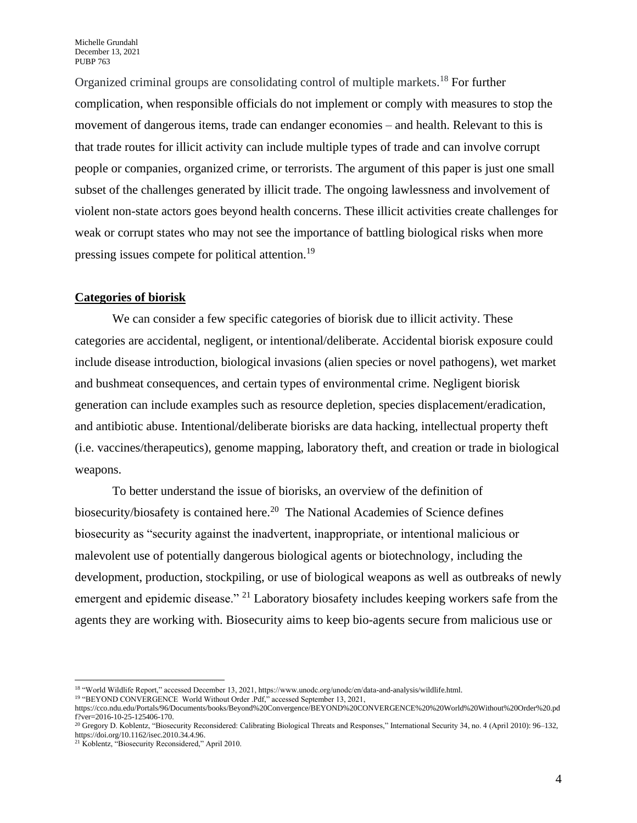Organized criminal groups are consolidating control of multiple markets.<sup>18</sup> For further complication, when responsible officials do not implement or comply with measures to stop the movement of dangerous items, trade can endanger economies – and health. Relevant to this is that trade routes for illicit activity can include multiple types of trade and can involve corrupt people or companies, organized crime, or terrorists. The argument of this paper is just one small subset of the challenges generated by illicit trade. The ongoing lawlessness and involvement of violent non-state actors goes beyond health concerns. These illicit activities create challenges for weak or corrupt states who may not see the importance of battling biological risks when more pressing issues compete for political attention.<sup>19</sup>

# **Categories of biorisk**

We can consider a few specific categories of biorisk due to illicit activity. These categories are accidental, negligent, or intentional/deliberate. Accidental biorisk exposure could include disease introduction, biological invasions (alien species or novel pathogens), wet market and bushmeat consequences, and certain types of environmental crime. Negligent biorisk generation can include examples such as resource depletion, species displacement/eradication, and antibiotic abuse. Intentional/deliberate biorisks are data hacking, intellectual property theft (i.e. vaccines/therapeutics), genome mapping, laboratory theft, and creation or trade in biological weapons.

To better understand the issue of biorisks, an overview of the definition of biosecurity/biosafety is contained here.<sup>20</sup> The National Academies of Science defines biosecurity as "security against the inadvertent, inappropriate, or intentional malicious or malevolent use of potentially dangerous biological agents or biotechnology, including the development, production, stockpiling, or use of biological weapons as well as outbreaks of newly emergent and epidemic disease." <sup>21</sup> Laboratory biosafety includes keeping workers safe from the agents they are working with. Biosecurity aims to keep bio-agents secure from malicious use or

<sup>18</sup> "World Wildlife Report," accessed December 13, 2021, https://www.unodc.org/unodc/en/data-and-analysis/wildlife.html.

<sup>&</sup>lt;sup>19</sup> "BEYOND CONVERGENCE World Without Order .Pdf," accessed September 13, 2021,

https://cco.ndu.edu/Portals/96/Documents/books/Beyond%20Convergence/BEYOND%20CONVERGENCE%20%20World%20Without%20Order%20.pd f?ver=2016-10-25-125406-170.

<sup>20</sup> Gregory D. Koblentz, "Biosecurity Reconsidered: Calibrating Biological Threats and Responses," International Security 34, no. 4 (April 2010): 96–132, https://doi.org/10.1162/isec.2010.34.4.96.

<sup>21</sup> Koblentz, "Biosecurity Reconsidered," April 2010.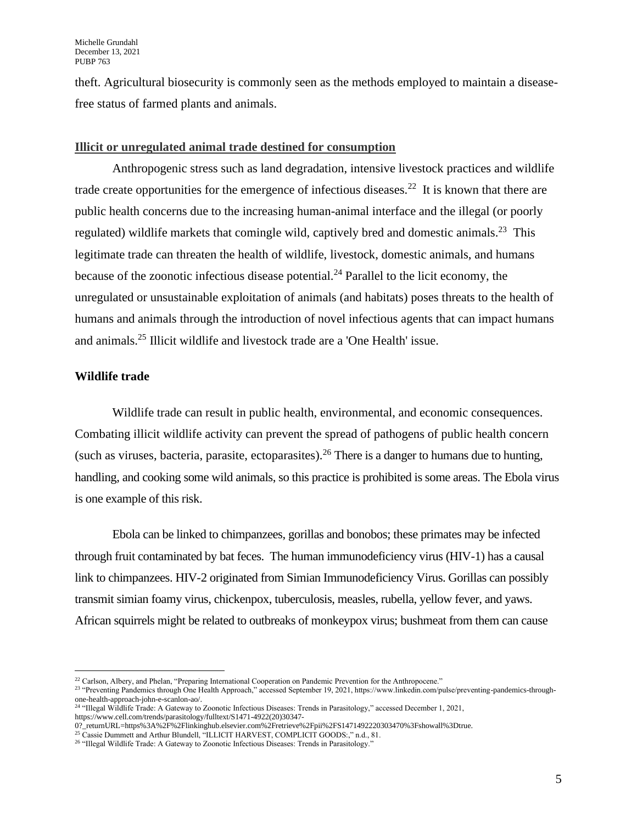theft. Agricultural biosecurity is commonly seen as the methods employed to maintain a diseasefree status of farmed plants and animals.

#### **Illicit or unregulated animal trade destined for consumption**

Anthropogenic stress such as land degradation, intensive livestock practices and wildlife trade create opportunities for the emergence of infectious diseases.<sup>22</sup> It is known that there are public health concerns due to the increasing human-animal interface and the illegal (or poorly regulated) wildlife markets that comingle wild, captively bred and domestic animals.<sup>23</sup> This legitimate trade can threaten the health of wildlife, livestock, domestic animals, and humans because of the zoonotic infectious disease potential.<sup>24</sup> Parallel to the licit economy, the unregulated or unsustainable exploitation of animals (and habitats) poses threats to the health of humans and animals through the introduction of novel infectious agents that can impact humans and animals.<sup>25</sup> Illicit wildlife and livestock trade are a 'One Health' issue.

# **Wildlife trade**

Wildlife trade can result in public health, environmental, and economic consequences. Combating illicit wildlife activity can prevent the spread of pathogens of public health concern (such as viruses, bacteria, parasite, ectoparasites).<sup>26</sup> There is a danger to humans due to hunting, handling, and cooking some wild animals, so this practice is prohibited is some areas. The Ebola virus is one example of this risk.

Ebola can be linked to chimpanzees, gorillas and bonobos; these primates may be infected through fruit contaminated by bat feces. The human immunodeficiency virus (HIV-1) has a causal link to chimpanzees. HIV-2 originated from Simian Immunodeficiency Virus. Gorillas can possibly transmit simian foamy virus, chickenpox, tuberculosis, measles, rubella, yellow fever, and yaws. African squirrels might be related to outbreaks of monkeypox virus; bushmeat from them can cause

<sup>&</sup>lt;sup>22</sup> Carlson, Albery, and Phelan, "Preparing International Cooperation on Pandemic Prevention for the Anthropocene."

<sup>&</sup>lt;sup>23</sup> "Preventing Pandemics through One Health Approach," accessed September 19, 2021, https://www.linkedin.com/pulse/preventing-pandemics-throughone-health-approach-john-e-scanlon-ao/.

<sup>24</sup> "Illegal Wildlife Trade: A Gateway to Zoonotic Infectious Diseases: Trends in Parasitology," accessed December 1, 2021, https://www.cell.com/trends/parasitology/fulltext/S1471-4922(20)30347-

<sup>0?</sup>\_returnURL=https%3A%2F%2Flinkinghub.elsevier.com%2Fretrieve%2Fpii%2FS1471492220303470%3Fshowall%3Dtrue.

<sup>&</sup>lt;sup>25</sup> Cassie Dummett and Arthur Blundell, "ILLICIT HARVEST, COMPLICIT GOODS:," n.d., 81.

<sup>&</sup>lt;sup>26</sup> "Illegal Wildlife Trade: A Gateway to Zoonotic Infectious Diseases: Trends in Parasitology."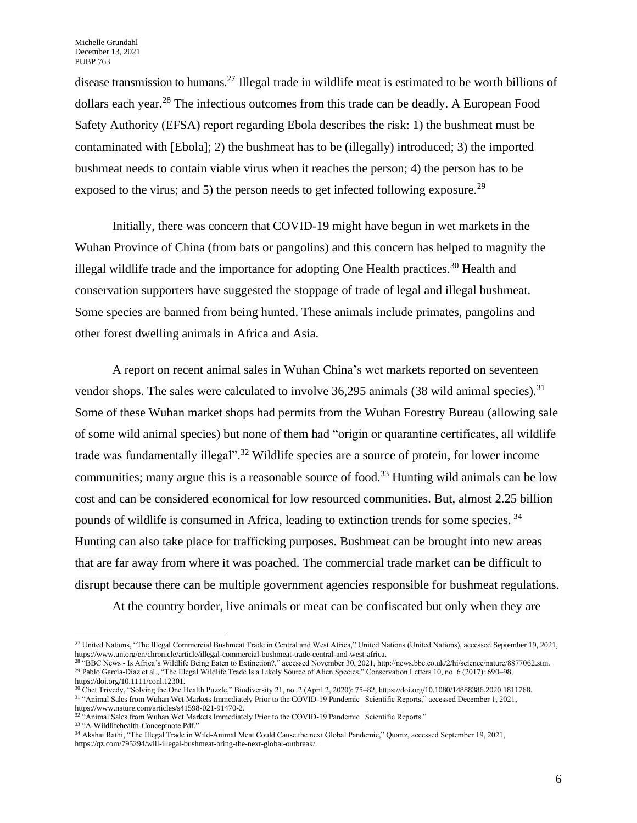disease transmission to humans.<sup>27</sup> Illegal trade in wildlife meat is estimated to be worth billions of dollars each year.<sup>28</sup> The infectious outcomes from this trade can be deadly. A European Food Safety Authority (EFSA) report regarding Ebola describes the risk: 1) the bushmeat must be contaminated with [Ebola]; 2) the bushmeat has to be (illegally) introduced; 3) the imported bushmeat needs to contain viable virus when it reaches the person; 4) the person has to be exposed to the virus; and 5) the person needs to get infected following exposure.<sup>29</sup>

Initially, there was concern that COVID-19 might have begun in wet markets in the Wuhan Province of China (from bats or pangolins) and this concern has helped to magnify the illegal wildlife trade and the importance for adopting One Health practices.<sup>30</sup> Health and conservation supporters have suggested the stoppage of trade of legal and illegal bushmeat. Some species are banned from being hunted. These animals include primates, pangolins and other forest dwelling animals in Africa and Asia.

A report on recent animal sales in Wuhan China's wet markets reported on seventeen vendor shops. The sales were calculated to involve  $36,295$  animals (38 wild animal species).<sup>31</sup> Some of these Wuhan market shops had permits from the Wuhan Forestry Bureau (allowing sale of some wild animal species) but none of them had "origin or quarantine certificates, all wildlife trade was fundamentally illegal".<sup>32</sup> Wildlife species are a source of protein, for lower income communities; many argue this is a reasonable source of food.<sup>33</sup> Hunting wild animals can be low cost and can be considered economical for low resourced communities. But, almost 2.25 billion pounds of wildlife is consumed in Africa, leading to extinction trends for some species. <sup>34</sup> Hunting can also take place for trafficking purposes. Bushmeat can be brought into new areas that are far away from where it was poached. The commercial trade market can be difficult to disrupt because there can be multiple government agencies responsible for bushmeat regulations.

At the country border, live animals or meat can be confiscated but only when they are

<sup>&</sup>lt;sup>27</sup> United Nations, "The Illegal Commercial Bushmeat Trade in Central and West Africa," United Nations (United Nations), accessed September 19, 2021, https://www.un.org/en/chronicle/article/illegal-commercial-bushmeat-trade-central-and-west-africa.

<sup>28</sup> "BBC News - Is Africa's Wildlife Being Eaten to Extinction?," accessed November 30, 2021, http://news.bbc.co.uk/2/hi/science/nature/8877062.stm. <sup>29</sup> Pablo García-Díaz et al., "The Illegal Wildlife Trade Is a Likely Source of Alien Species," Conservation Letters 10, no. 6 (2017): 690–98, https://doi.org/10.1111/conl.12301.

<sup>30</sup> Chet Trivedy, "Solving the One Health Puzzle," Biodiversity 21, no. 2 (April 2, 2020): 75–82, https://doi.org/10.1080/14888386.2020.1811768. <sup>31</sup> "Animal Sales from Wuhan Wet Markets Immediately Prior to the COVID-19 Pandemic | Scientific Reports," accessed December 1, 2021, https://www.nature.com/articles/s41598-021-91470-2.

 $32 \cdot A$ nimal Sales from Wuhan Wet Markets Immediately Prior to the COVID-19 Pandemic | Scientific Reports."

<sup>33</sup> "A-Wildlifehealth-Conceptnote.Pdf."

<sup>34</sup> Akshat Rathi, "The Illegal Trade in Wild-Animal Meat Could Cause the next Global Pandemic," Quartz, accessed September 19, 2021, https://qz.com/795294/will-illegal-bushmeat-bring-the-next-global-outbreak/.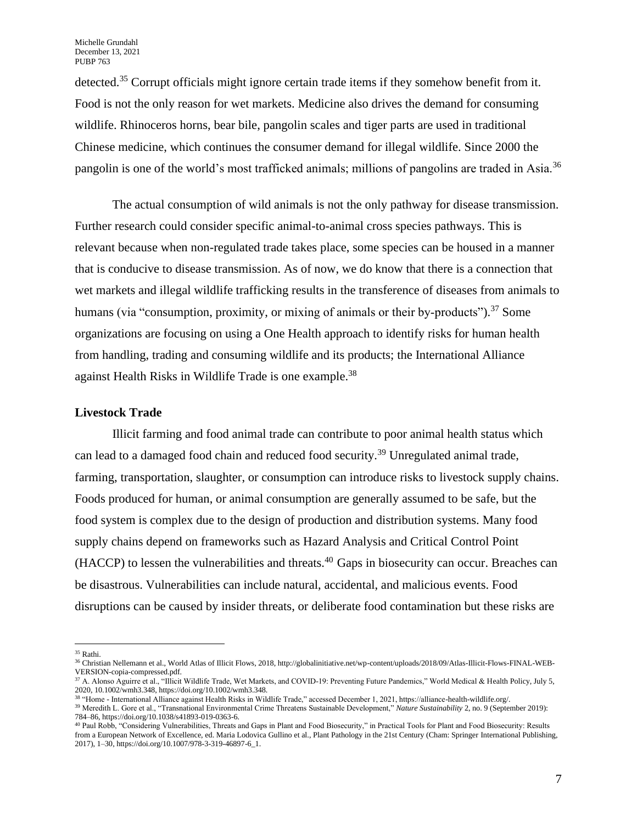detected.<sup>35</sup> Corrupt officials might ignore certain trade items if they somehow benefit from it. Food is not the only reason for wet markets. Medicine also drives the demand for consuming wildlife. Rhinoceros horns, bear bile, pangolin scales and tiger parts are used in traditional Chinese medicine, which continues the consumer demand for illegal wildlife. Since 2000 the pangolin is one of the world's most trafficked animals; millions of pangolins are traded in Asia.<sup>36</sup>

The actual consumption of wild animals is not the only pathway for disease transmission. Further research could consider specific animal-to-animal cross species pathways. This is relevant because when non-regulated trade takes place, some species can be housed in a manner that is conducive to disease transmission. As of now, we do know that there is a connection that wet markets and illegal wildlife trafficking results in the transference of diseases from animals to humans (via "consumption, proximity, or mixing of animals or their by-products").<sup>37</sup> Some organizations are focusing on using a One Health approach to identify risks for human health from handling, trading and consuming wildlife and its products; the International Alliance against Health Risks in Wildlife Trade is one example.<sup>38</sup>

## **Livestock Trade**

Illicit farming and food animal trade can contribute to poor animal health status which can lead to a damaged food chain and reduced food security.<sup>39</sup> Unregulated animal trade, farming, transportation, slaughter, or consumption can introduce risks to livestock supply chains. Foods produced for human, or animal consumption are generally assumed to be safe, but the food system is complex due to the design of production and distribution systems. Many food supply chains depend on frameworks such as Hazard Analysis and Critical Control Point (HACCP) to lessen the vulnerabilities and threats.<sup>40</sup> Gaps in biosecurity can occur. Breaches can be disastrous. Vulnerabilities can include natural, accidental, and malicious events. Food disruptions can be caused by insider threats, or deliberate food contamination but these risks are

<sup>35</sup> Rathi.

<sup>36</sup> Christian Nellemann et al., World Atlas of Illicit Flows, 2018, http://globalinitiative.net/wp-content/uploads/2018/09/Atlas-Illicit-Flows-FINAL-WEB-VERSION-copia-compressed.pdf.

<sup>37</sup> A. Alonso Aguirre et al., "Illicit Wildlife Trade, Wet Markets, and COVID‐19: Preventing Future Pandemics," World Medical & Health Policy, July 5, 2020, 10.1002/wmh3.348, https://doi.org/10.1002/wmh3.348.

<sup>38</sup> "Home - International Alliance against Health Risks in Wildlife Trade," accessed December 1, 2021, https://alliance-health-wildlife.org/.

<sup>39</sup> Meredith L. Gore et al., "Transnational Environmental Crime Threatens Sustainable Development," *Nature Sustainability* 2, no. 9 (September 2019): 784–86, https://doi.org/10.1038/s41893-019-0363-6.

<sup>40</sup> Paul Robb, "Considering Vulnerabilities, Threats and Gaps in Plant and Food Biosecurity," in Practical Tools for Plant and Food Biosecurity: Results from a European Network of Excellence, ed. Maria Lodovica Gullino et al., Plant Pathology in the 21st Century (Cham: Springer International Publishing, 2017), 1–30, https://doi.org/10.1007/978-3-319-46897-6\_1.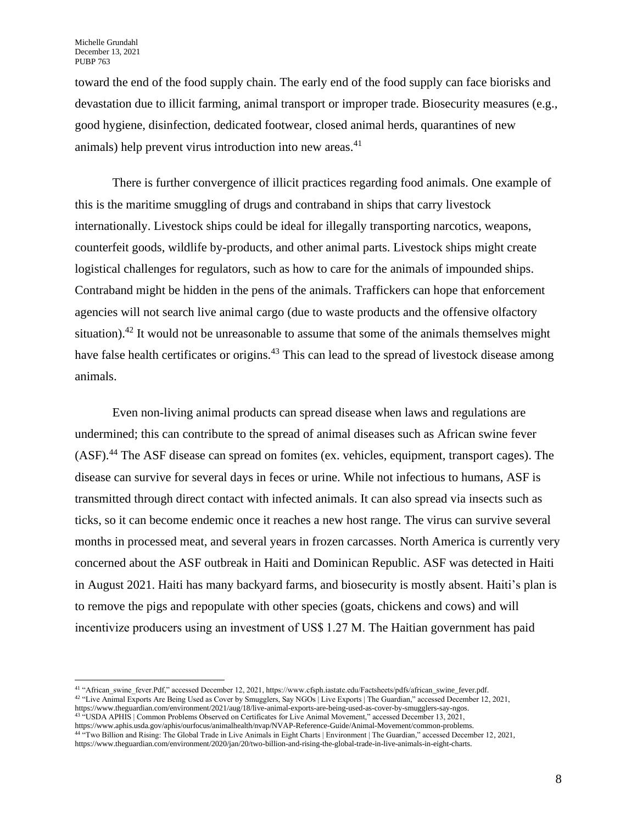toward the end of the food supply chain. The early end of the food supply can face biorisks and devastation due to illicit farming, animal transport or improper trade. Biosecurity measures (e.g., good hygiene, disinfection, dedicated footwear, closed animal herds, quarantines of new animals) help prevent virus introduction into new areas.<sup>41</sup>

There is further convergence of illicit practices regarding food animals. One example of this is the maritime smuggling of drugs and contraband in ships that carry livestock internationally. Livestock ships could be ideal for illegally transporting narcotics, weapons, counterfeit goods, wildlife by-products, and other animal parts. Livestock ships might create logistical challenges for regulators, such as how to care for the animals of impounded ships. Contraband might be hidden in the pens of the animals. Traffickers can hope that enforcement agencies will not search live animal cargo (due to waste products and the offensive olfactory situation).<sup>42</sup> It would not be unreasonable to assume that some of the animals themselves might have false health certificates or origins.<sup>43</sup> This can lead to the spread of livestock disease among animals.

Even non-living animal products can spread disease when laws and regulations are undermined; this can contribute to the spread of animal diseases such as African swine fever (ASF).<sup>44</sup> The ASF disease can spread on fomites (ex. vehicles, equipment, transport cages). The disease can survive for several days in feces or urine. While not infectious to humans, ASF is transmitted through direct contact with infected animals. It can also spread via insects such as ticks, so it can become endemic once it reaches a new host range. The virus can survive several months in processed meat, and several years in frozen carcasses. North America is currently very concerned about the ASF outbreak in Haiti and Dominican Republic. ASF was detected in Haiti in August 2021. Haiti has many backyard farms, and biosecurity is mostly absent. Haiti's plan is to remove the pigs and repopulate with other species (goats, chickens and cows) and will incentivize producers using an investment of US\$ 1.27 M. The Haitian government has paid

<sup>41</sup> "African\_swine\_fever.Pdf," accessed December 12, 2021, https://www.cfsph.iastate.edu/Factsheets/pdfs/african\_swine\_fever.pdf. <sup>42</sup> "Live Animal Exports Are Being Used as Cover by Smugglers, Say NGOs | Live Exports | The Guardian," accessed December 12, 2021, https://www.theguardian.com/environment/2021/aug/18/live-animal-exports-are-being-used-as-cover-by-smugglers-say-ngos. <sup>43</sup> "USDA APHIS | Common Problems Observed on Certificates for Live Animal Movement," accessed December 13, 2021,

https://www.aphis.usda.gov/aphis/ourfocus/animalhealth/nvap/NVAP-Reference-Guide/Animal-Movement/common-problems. <sup>44 "</sup>Two Billion and Rising: The Global Trade in Live Animals in Eight Charts | Environment | The Guardian," accessed December 12, 2021, https://www.theguardian.com/environment/2020/jan/20/two-billion-and-rising-the-global-trade-in-live-animals-in-eight-charts.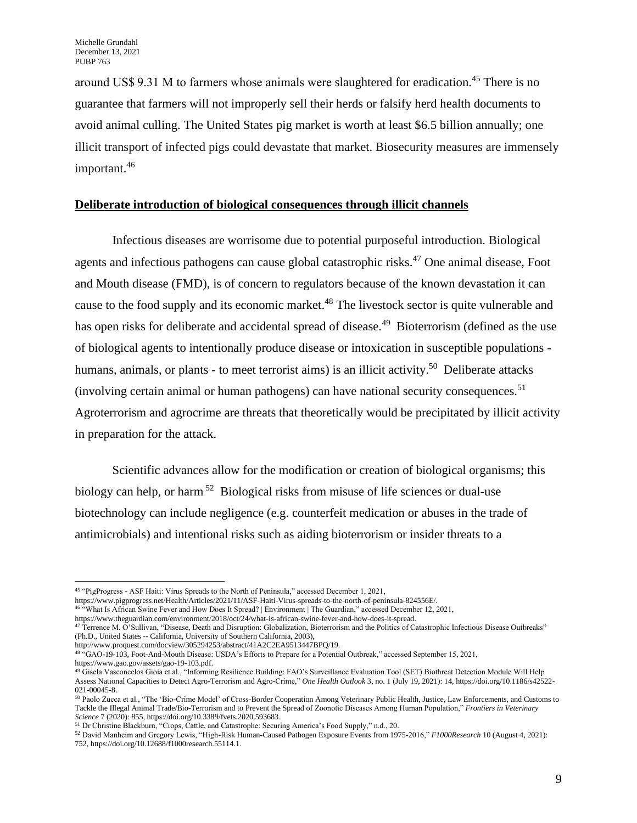around US\$ 9.31 M to farmers whose animals were slaughtered for eradication.<sup>45</sup> There is no guarantee that farmers will not improperly sell their herds or falsify herd health documents to avoid animal culling. The United States pig market is worth at least \$6.5 billion annually; one illicit transport of infected pigs could devastate that market. Biosecurity measures are immensely important.<sup>46</sup>

## **Deliberate introduction of biological consequences through illicit channels**

Infectious diseases are worrisome due to potential purposeful introduction. Biological agents and infectious pathogens can cause global catastrophic risks.<sup>47</sup> One animal disease, Foot and Mouth disease (FMD), is of concern to regulators because of the known devastation it can cause to the food supply and its economic market.<sup>48</sup> The livestock sector is quite vulnerable and has open risks for deliberate and accidental spread of disease.<sup>49</sup> Bioterrorism (defined as the use of biological agents to intentionally produce disease or intoxication in susceptible populations humans, animals, or plants - to meet terrorist aims) is an illicit activity.<sup>50</sup> Deliberate attacks (involving certain animal or human pathogens) can have national security consequences.<sup>51</sup> Agroterrorism and agrocrime are threats that theoretically would be precipitated by illicit activity in preparation for the attack.

Scientific advances allow for the modification or creation of biological organisms; this biology can help, or harm<sup>52</sup> Biological risks from misuse of life sciences or dual-use biotechnology can include negligence (e.g. counterfeit medication or abuses in the trade of antimicrobials) and intentional risks such as aiding bioterrorism or insider threats to a

https://www.pigprogress.net/Health/Articles/2021/11/ASF-Haiti-Virus-spreads-to-the-north-of-peninsula-824556E/.

http://www.proquest.com/docview/305294253/abstract/41A2C2EA9513447BPQ/19.

<sup>45</sup> "PigProgress - ASF Haiti: Virus Spreads to the North of Peninsula," accessed December 1, 2021,

<sup>46</sup> "What Is African Swine Fever and How Does It Spread? | Environment | The Guardian," accessed December 12, 2021,

https://www.theguardian.com/environment/2018/oct/24/what-is-african-swine-fever-and-how-does-it-spread.

 $47$  Terrence M. O'Sullivan, "Disease, Death and Disruption: Globalization, Bioterrorism and the Politics of Catastrophic Infectious Disease Outbreaks" (Ph.D., United States -- California, University of Southern California, 2003),

<sup>48</sup> "GAO-19-103, Foot-And-Mouth Disease: USDA's Efforts to Prepare for a Potential Outbreak," accessed September 15, 2021, https://www.gao.gov/assets/gao-19-103.pdf.

<sup>49</sup> Gisela Vasconcelos Gioia et al., "Informing Resilience Building: FAO's Surveillance Evaluation Tool (SET) Biothreat Detection Module Will Help Assess National Capacities to Detect Agro-Terrorism and Agro-Crime," *One Health Outlook* 3, no. 1 (July 19, 2021): 14, https://doi.org/10.1186/s42522- 021-00045-8.

<sup>50</sup> Paolo Zucca et al., "The 'Bio-Crime Model' of Cross-Border Cooperation Among Veterinary Public Health, Justice, Law Enforcements, and Customs to Tackle the Illegal Animal Trade/Bio-Terrorism and to Prevent the Spread of Zoonotic Diseases Among Human Population," *Frontiers in Veterinary Science* 7 (2020): 855, https://doi.org/10.3389/fvets.2020.593683.

<sup>51</sup> Dr Christine Blackburn, "Crops, Cattle, and Catastrophe: Securing America's Food Supply," n.d., 20.

<sup>52</sup> David Manheim and Gregory Lewis, "High-Risk Human-Caused Pathogen Exposure Events from 1975-2016," *F1000Research* 10 (August 4, 2021): 752, https://doi.org/10.12688/f1000research.55114.1.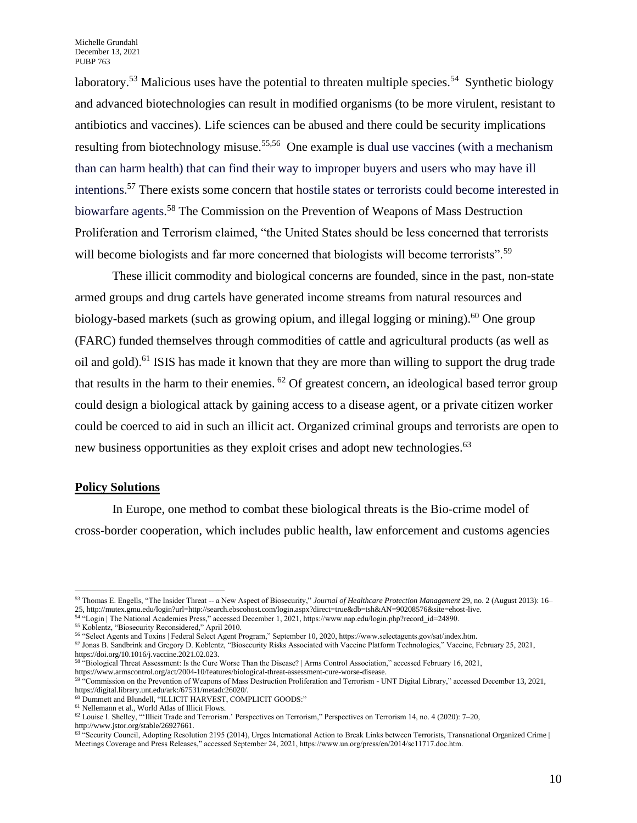laboratory.<sup>53</sup> Malicious uses have the potential to threaten multiple species.<sup>54</sup> Synthetic biology and advanced biotechnologies can result in modified organisms (to be more virulent, resistant to antibiotics and vaccines). Life sciences can be abused and there could be security implications resulting from biotechnology misuse.<sup>55,56</sup> One example is dual use vaccines (with a mechanism than can harm health) that can find their way to improper buyers and users who may have ill intentions.<sup>57</sup> There exists some concern that hostile states or terrorists could become interested in biowarfare agents.<sup>58</sup> The Commission on the Prevention of Weapons of Mass Destruction Proliferation and Terrorism claimed, "the United States should be less concerned that terrorists will become biologists and far more concerned that biologists will become terrorists".<sup>59</sup>

These illicit commodity and biological concerns are founded, since in the past, non-state armed groups and drug cartels have generated income streams from natural resources and biology-based markets (such as growing opium, and illegal logging or mining).<sup>60</sup> One group (FARC) funded themselves through commodities of cattle and agricultural products (as well as oil and gold).<sup>61</sup> ISIS has made it known that they are more than willing to support the drug trade that results in the harm to their enemies.  $62$  Of greatest concern, an ideological based terror group could design a biological attack by gaining access to a disease agent, or a private citizen worker could be coerced to aid in such an illicit act. Organized criminal groups and terrorists are open to new business opportunities as they exploit crises and adopt new technologies.<sup>63</sup>

#### **Policy Solutions**

In Europe, one method to combat these biological threats is the Bio-crime model of cross-border cooperation, which includes public health, law enforcement and customs agencies

<sup>53</sup> Thomas E. Engells, "The Insider Threat -- a New Aspect of Biosecurity," *Journal of Healthcare Protection Management* 29, no. 2 (August 2013): 16– 25, http://mutex.gmu.edu/login?url=http://search.ebscohost.com/login.aspx?direct=true&db=tsh&AN=90208576&site=ehost-live.

<sup>54</sup> "Login | The National Academies Press," accessed December 1, 2021, https://www.nap.edu/login.php?record\_id=24890.

<sup>55</sup> Koblentz, "Biosecurity Reconsidered," April 2010.

<sup>56</sup> "Select Agents and Toxins | Federal Select Agent Program," September 10, 2020, https://www.selectagents.gov/sat/index.htm.

<sup>57</sup> Jonas B. Sandbrink and Gregory D. Koblentz, "Biosecurity Risks Associated with Vaccine Platform Technologies," Vaccine, February 25, 2021, https://doi.org/10.1016/j.vaccine.2021.02.023.

<sup>58</sup> "Biological Threat Assessment: Is the Cure Worse Than the Disease? | Arms Control Association," accessed February 16, 2021, https://www.armscontrol.org/act/2004-10/features/biological-threat-assessment-cure-worse-disease.

<sup>59</sup> "Commission on the Prevention of Weapons of Mass Destruction Proliferation and Terrorism - UNT Digital Library," accessed December 13, 2021, https://digital.library.unt.edu/ark:/67531/metadc26020/.

<sup>60</sup> Dummett and Blundell, "ILLICIT HARVEST, COMPLICIT GOODS:"

<sup>61</sup> Nellemann et al., World Atlas of Illicit Flows.

 $62$  Louise I. Shelley, "'Illicit Trade and Terrorism.' Perspectives on Terrorism," Perspectives on Terrorism 14, no. 4 (2020): 7–20, http://www.jstor.org/stable/26927661.

 $63$  "Security Council, Adopting Resolution 2195 (2014), Urges International Action to Break Links between Terrorists, Transnational Organized Crime | Meetings Coverage and Press Releases," accessed September 24, 2021, https://www.un.org/press/en/2014/sc11717.doc.htm.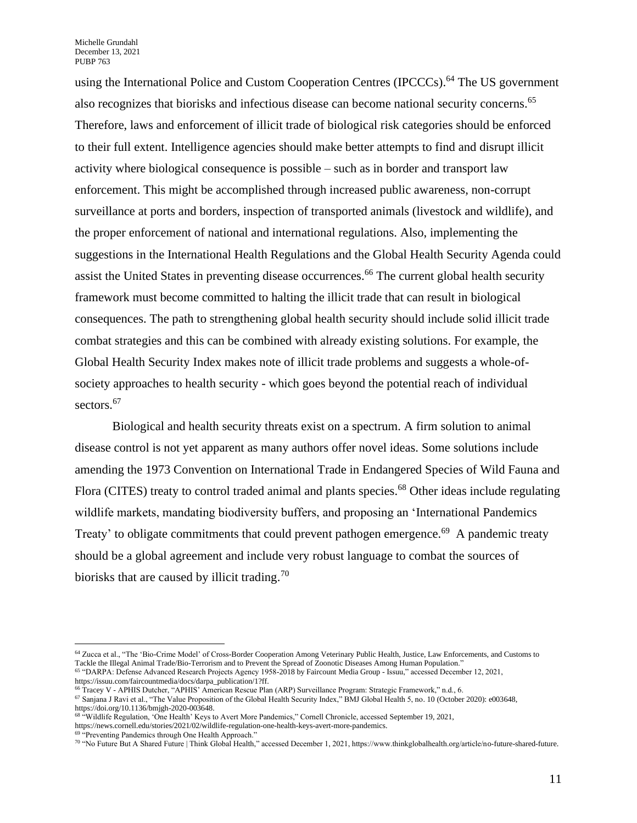Michelle Grundahl December 13, 2021 PUBP 763

using the International Police and Custom Cooperation Centres (IPCCCs).<sup>64</sup> The US government also recognizes that biorisks and infectious disease can become national security concerns.<sup>65</sup> Therefore, laws and enforcement of illicit trade of biological risk categories should be enforced to their full extent. Intelligence agencies should make better attempts to find and disrupt illicit activity where biological consequence is possible – such as in border and transport law enforcement. This might be accomplished through increased public awareness, non-corrupt surveillance at ports and borders, inspection of transported animals (livestock and wildlife), and the proper enforcement of national and international regulations. Also, implementing the suggestions in the International Health Regulations and the Global Health Security Agenda could assist the United States in preventing disease occurrences.<sup>66</sup> The current global health security framework must become committed to halting the illicit trade that can result in biological consequences. The path to strengthening global health security should include solid illicit trade combat strategies and this can be combined with already existing solutions. For example, the Global Health Security Index makes note of illicit trade problems and suggests a whole-ofsociety approaches to health security - which goes beyond the potential reach of individual sectors.<sup>67</sup>

Biological and health security threats exist on a spectrum. A firm solution to animal disease control is not yet apparent as many authors offer novel ideas. Some solutions include amending the 1973 Convention on International Trade in Endangered Species of Wild Fauna and Flora (CITES) treaty to control traded animal and plants species.<sup>68</sup> Other ideas include regulating wildlife markets, mandating biodiversity buffers, and proposing an 'International Pandemics Treaty' to obligate commitments that could prevent pathogen emergence.<sup>69</sup> A pandemic treaty should be a global agreement and include very robust language to combat the sources of biorisks that are caused by illicit trading.<sup>70</sup>

<sup>67</sup> Sanjana J Ravi et al., "The Value Proposition of the Global Health Security Index," BMJ Global Health 5, no. 10 (October 2020): e003648, https://doi.org/10.1136/bmjgh-2020-003648.

https://news.cornell.edu/stories/2021/02/wildlife-regulation-one-health-keys-avert-more-pandemics.

<sup>64</sup> Zucca et al., "The 'Bio-Crime Model' of Cross-Border Cooperation Among Veterinary Public Health, Justice, Law Enforcements, and Customs to Tackle the Illegal Animal Trade/Bio-Terrorism and to Prevent the Spread of Zoonotic Diseases Among Human Population."

<sup>65</sup> "DARPA: Defense Advanced Research Projects Agency 1958-2018 by Faircount Media Group - Issuu," accessed December 12, 2021, https://issuu.com/faircountmedia/docs/darpa\_publication/1?ff.

<sup>66</sup> Tracey V - APHIS Dutcher, "APHIS' American Rescue Plan (ARP) Surveillance Program: Strategic Framework," n.d., 6.

<sup>68</sup> "Wildlife Regulation, 'One Health' Keys to Avert More Pandemics," Cornell Chronicle, accessed September 19, 2021,

<sup>69</sup> "Preventing Pandemics through One Health Approach."

<sup>70</sup> "No Future But A Shared Future | Think Global Health," accessed December 1, 2021, https://www.thinkglobalhealth.org/article/no-future-shared-future.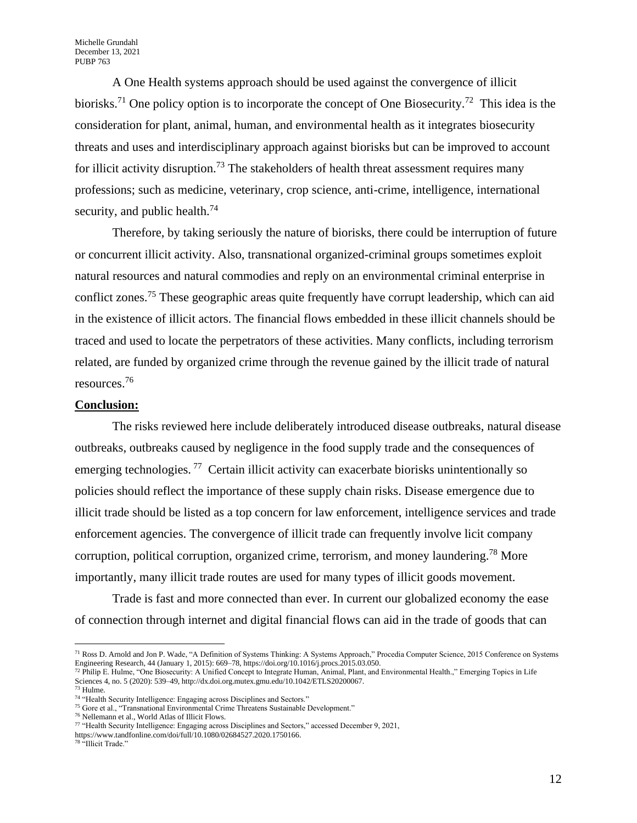A One Health systems approach should be used against the convergence of illicit biorisks.<sup>71</sup> One policy option is to incorporate the concept of One Biosecurity.<sup>72</sup> This idea is the consideration for plant, animal, human, and environmental health as it integrates biosecurity threats and uses and interdisciplinary approach against biorisks but can be improved to account for illicit activity disruption.<sup>73</sup> The stakeholders of health threat assessment requires many professions; such as medicine, veterinary, crop science, anti-crime, intelligence, international security, and public health.<sup>74</sup>

Therefore, by taking seriously the nature of biorisks, there could be interruption of future or concurrent illicit activity. Also, transnational organized-criminal groups sometimes exploit natural resources and natural commodies and reply on an environmental criminal enterprise in conflict zones.<sup>75</sup> These geographic areas quite frequently have corrupt leadership, which can aid in the existence of illicit actors. The financial flows embedded in these illicit channels should be traced and used to locate the perpetrators of these activities. Many conflicts, including terrorism related, are funded by organized crime through the revenue gained by the illicit trade of natural resources.<sup>76</sup>

#### **Conclusion:**

The risks reviewed here include deliberately introduced disease outbreaks, natural disease outbreaks, outbreaks caused by negligence in the food supply trade and the consequences of emerging technologies.<sup>77</sup> Certain illicit activity can exacerbate biorisks unintentionally so policies should reflect the importance of these supply chain risks. Disease emergence due to illicit trade should be listed as a top concern for law enforcement, intelligence services and trade enforcement agencies. The convergence of illicit trade can frequently involve licit company corruption, political corruption, organized crime, terrorism, and money laundering.<sup>78</sup> More importantly, many illicit trade routes are used for many types of illicit goods movement.

Trade is fast and more connected than ever. In current our globalized economy the ease of connection through internet and digital financial flows can aid in the trade of goods that can

<sup>&</sup>lt;sup>71</sup> Ross D. Arnold and Jon P. Wade, "A Definition of Systems Thinking: A Systems Approach," Procedia Computer Science, 2015 Conference on Systems Engineering Research, 44 (January 1, 2015): 669–78, https://doi.org/10.1016/j.procs.2015.03.050.

 $^{72}$  Philip E. Hulme, "One Biosecurity: A Unified Concept to Integrate Human, Animal, Plant, and Environmental Health.," Emerging Topics in Life Sciences 4, no. 5 (2020): 539–49, http://dx.doi.org.mutex.gmu.edu/10.1042/ETLS20200067.

 $73$  Hulme.

<sup>&</sup>lt;sup>74</sup> "Health Security Intelligence: Engaging across Disciplines and Sectors."

<sup>75</sup> Gore et al., "Transnational Environmental Crime Threatens Sustainable Development."

<sup>76</sup> Nellemann et al., World Atlas of Illicit Flows.

<sup>77</sup> "Health Security Intelligence: Engaging across Disciplines and Sectors," accessed December 9, 2021,

https://www.tandfonline.com/doi/full/10.1080/02684527.2020.1750166.

<sup>&</sup>lt;sup>78</sup> "Illicit Trade."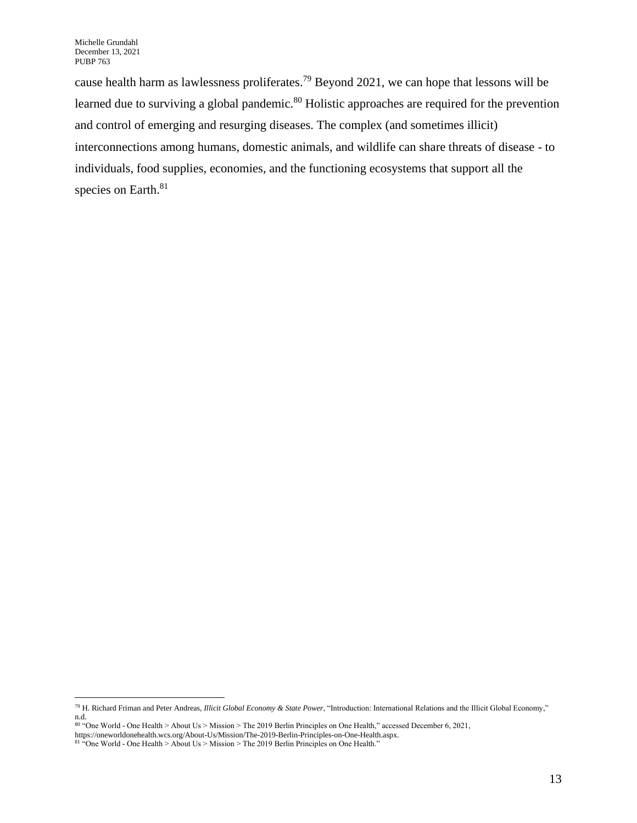cause health harm as lawlessness proliferates.<sup>79</sup> Beyond 2021, we can hope that lessons will be learned due to surviving a global pandemic.<sup>80</sup> Holistic approaches are required for the prevention and control of emerging and resurging diseases. The complex (and sometimes illicit) interconnections among humans, domestic animals, and wildlife can share threats of disease - to individuals, food supplies, economies, and the functioning ecosystems that support all the species on Earth.<sup>81</sup>

<sup>79</sup> H. Richard Friman and Peter Andreas, *Illicit Global Economy & State Power*, "Introduction: International Relations and the Illicit Global Economy," n.d.

<sup>80</sup> "One World - One Health > About Us > Mission > The 2019 Berlin Principles on One Health," accessed December 6, 2021,

https://oneworldonehealth.wcs.org/About-Us/Mission/The-2019-Berlin-Principles-on-One-Health.aspx.

<sup>&</sup>lt;sup>81</sup> "One World - One Health > About Us > Mission > The 2019 Berlin Principles on One Health."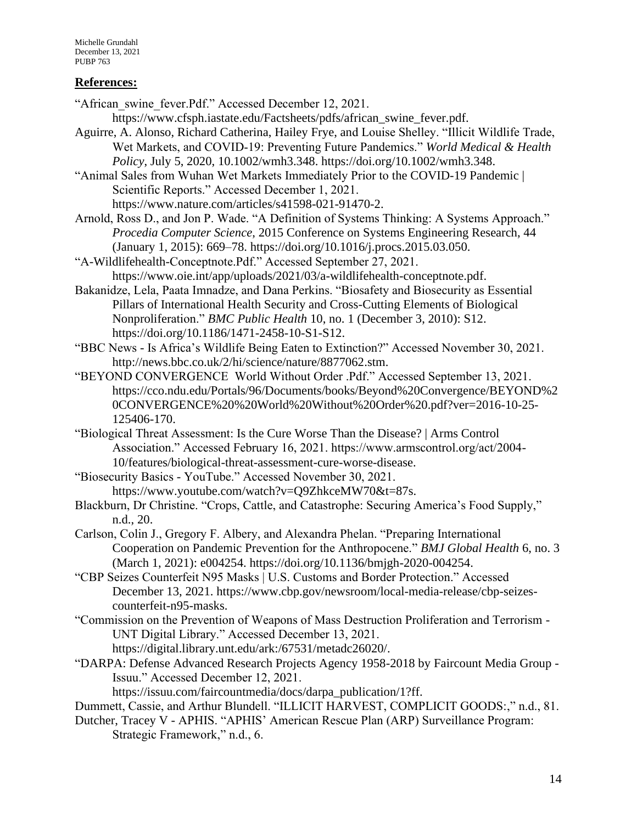# **References:**

"African\_swine\_fever.Pdf." Accessed December 12, 2021.

https://www.cfsph.iastate.edu/Factsheets/pdfs/african\_swine\_fever.pdf.

Aguirre, A. Alonso, Richard Catherina, Hailey Frye, and Louise Shelley. "Illicit Wildlife Trade, Wet Markets, and COVID‐19: Preventing Future Pandemics." *World Medical & Health Policy*, July 5, 2020, 10.1002/wmh3.348. https://doi.org/10.1002/wmh3.348.

"Animal Sales from Wuhan Wet Markets Immediately Prior to the COVID-19 Pandemic | Scientific Reports." Accessed December 1, 2021. https://www.nature.com/articles/s41598-021-91470-2.

Arnold, Ross D., and Jon P. Wade. "A Definition of Systems Thinking: A Systems Approach." *Procedia Computer Science*, 2015 Conference on Systems Engineering Research, 44 (January 1, 2015): 669–78. https://doi.org/10.1016/j.procs.2015.03.050.

"A-Wildlifehealth-Conceptnote.Pdf." Accessed September 27, 2021. https://www.oie.int/app/uploads/2021/03/a-wildlifehealth-conceptnote.pdf.

Bakanidze, Lela, Paata Imnadze, and Dana Perkins. "Biosafety and Biosecurity as Essential Pillars of International Health Security and Cross-Cutting Elements of Biological Nonproliferation." *BMC Public Health* 10, no. 1 (December 3, 2010): S12. https://doi.org/10.1186/1471-2458-10-S1-S12.

"BBC News - Is Africa's Wildlife Being Eaten to Extinction?" Accessed November 30, 2021. http://news.bbc.co.uk/2/hi/science/nature/8877062.stm.

- "BEYOND CONVERGENCE World Without Order .Pdf." Accessed September 13, 2021. https://cco.ndu.edu/Portals/96/Documents/books/Beyond%20Convergence/BEYOND%2 0CONVERGENCE%20%20World%20Without%20Order%20.pdf?ver=2016-10-25- 125406-170.
- "Biological Threat Assessment: Is the Cure Worse Than the Disease? | Arms Control Association." Accessed February 16, 2021. https://www.armscontrol.org/act/2004- 10/features/biological-threat-assessment-cure-worse-disease.

"Biosecurity Basics - YouTube." Accessed November 30, 2021. https://www.youtube.com/watch?v=Q9ZhkceMW70&t=87s.

- Blackburn, Dr Christine. "Crops, Cattle, and Catastrophe: Securing America's Food Supply," n.d., 20.
- Carlson, Colin J., Gregory F. Albery, and Alexandra Phelan. "Preparing International Cooperation on Pandemic Prevention for the Anthropocene." *BMJ Global Health* 6, no. 3 (March 1, 2021): e004254. https://doi.org/10.1136/bmjgh-2020-004254.
- "CBP Seizes Counterfeit N95 Masks | U.S. Customs and Border Protection." Accessed December 13, 2021. https://www.cbp.gov/newsroom/local-media-release/cbp-seizescounterfeit-n95-masks.
- "Commission on the Prevention of Weapons of Mass Destruction Proliferation and Terrorism UNT Digital Library." Accessed December 13, 2021. https://digital.library.unt.edu/ark:/67531/metadc26020/.
- "DARPA: Defense Advanced Research Projects Agency 1958-2018 by Faircount Media Group Issuu." Accessed December 12, 2021.

https://issuu.com/faircountmedia/docs/darpa\_publication/1?ff.

Dummett, Cassie, and Arthur Blundell. "ILLICIT HARVEST, COMPLICIT GOODS:," n.d., 81.

Dutcher, Tracey V - APHIS. "APHIS' American Rescue Plan (ARP) Surveillance Program: Strategic Framework," n.d., 6.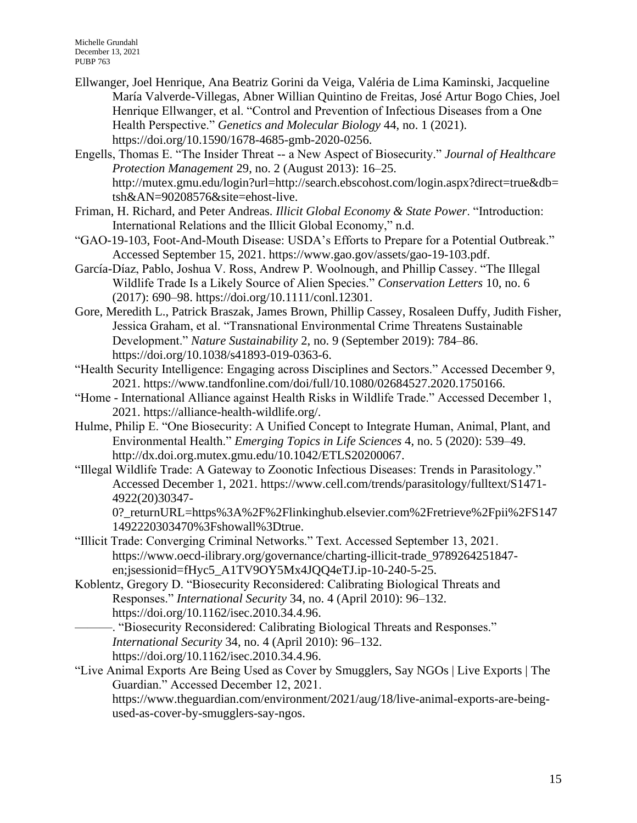- Ellwanger, Joel Henrique, Ana Beatriz Gorini da Veiga, Valéria de Lima Kaminski, Jacqueline María Valverde-Villegas, Abner Willian Quintino de Freitas, José Artur Bogo Chies, Joel Henrique Ellwanger, et al. "Control and Prevention of Infectious Diseases from a One Health Perspective." *Genetics and Molecular Biology* 44, no. 1 (2021). https://doi.org/10.1590/1678-4685-gmb-2020-0256.
- Engells, Thomas E. "The Insider Threat -- a New Aspect of Biosecurity." *Journal of Healthcare Protection Management* 29, no. 2 (August 2013): 16–25. http://mutex.gmu.edu/login?url=http://search.ebscohost.com/login.aspx?direct=true&db= tsh&AN=90208576&site=ehost-live.
- Friman, H. Richard, and Peter Andreas. *Illicit Global Economy & State Power*. "Introduction: International Relations and the Illicit Global Economy," n.d.
- "GAO-19-103, Foot-And-Mouth Disease: USDA's Efforts to Prepare for a Potential Outbreak." Accessed September 15, 2021. https://www.gao.gov/assets/gao-19-103.pdf.
- García-Díaz, Pablo, Joshua V. Ross, Andrew P. Woolnough, and Phillip Cassey. "The Illegal Wildlife Trade Is a Likely Source of Alien Species." *Conservation Letters* 10, no. 6 (2017): 690–98. https://doi.org/10.1111/conl.12301.
- Gore, Meredith L., Patrick Braszak, James Brown, Phillip Cassey, Rosaleen Duffy, Judith Fisher, Jessica Graham, et al. "Transnational Environmental Crime Threatens Sustainable Development." *Nature Sustainability* 2, no. 9 (September 2019): 784–86. https://doi.org/10.1038/s41893-019-0363-6.
- "Health Security Intelligence: Engaging across Disciplines and Sectors." Accessed December 9, 2021. https://www.tandfonline.com/doi/full/10.1080/02684527.2020.1750166.
- "Home International Alliance against Health Risks in Wildlife Trade." Accessed December 1, 2021. https://alliance-health-wildlife.org/.
- Hulme, Philip E. "One Biosecurity: A Unified Concept to Integrate Human, Animal, Plant, and Environmental Health." *Emerging Topics in Life Sciences* 4, no. 5 (2020): 539–49. http://dx.doi.org.mutex.gmu.edu/10.1042/ETLS20200067.
- "Illegal Wildlife Trade: A Gateway to Zoonotic Infectious Diseases: Trends in Parasitology." Accessed December 1, 2021. https://www.cell.com/trends/parasitology/fulltext/S1471- 4922(20)30347-

0? returnURL=https%3A%2F%2Flinkinghub.elsevier.com%2Fretrieve%2Fpii%2FS147 1492220303470%3Fshowall%3Dtrue.

- "Illicit Trade: Converging Criminal Networks." Text. Accessed September 13, 2021. https://www.oecd-ilibrary.org/governance/charting-illicit-trade\_9789264251847 en;jsessionid=fHyc5\_A1TV9OY5Mx4JQQ4eTJ.ip-10-240-5-25.
- Koblentz, Gregory D. "Biosecurity Reconsidered: Calibrating Biological Threats and Responses." *International Security* 34, no. 4 (April 2010): 96–132. https://doi.org/10.1162/isec.2010.34.4.96.
	- ———. "Biosecurity Reconsidered: Calibrating Biological Threats and Responses." *International Security* 34, no. 4 (April 2010): 96–132. https://doi.org/10.1162/isec.2010.34.4.96.
- "Live Animal Exports Are Being Used as Cover by Smugglers, Say NGOs | Live Exports | The Guardian." Accessed December 12, 2021.

https://www.theguardian.com/environment/2021/aug/18/live-animal-exports-are-beingused-as-cover-by-smugglers-say-ngos.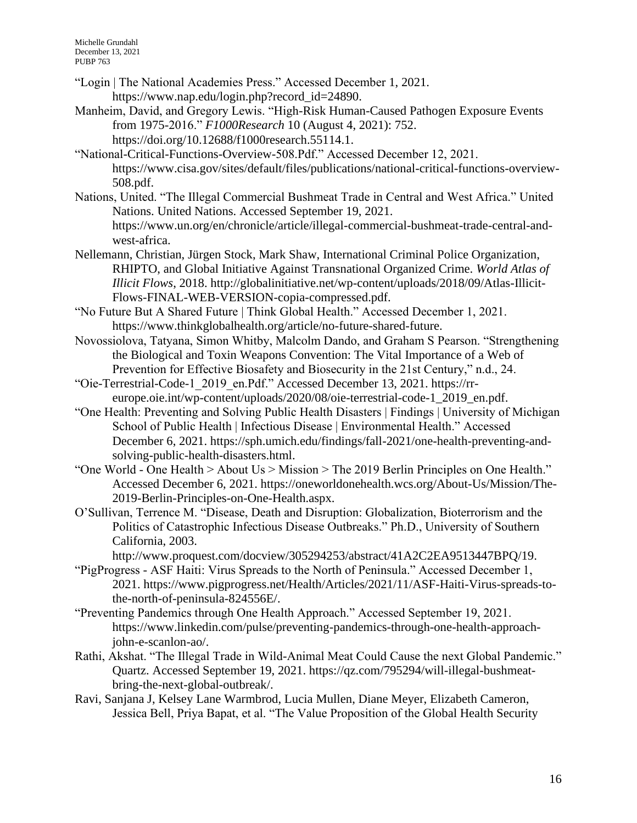Michelle Grundahl December 13, 2021 PUBP 763

- "Login | The National Academies Press." Accessed December 1, 2021. https://www.nap.edu/login.php?record\_id=24890.
- Manheim, David, and Gregory Lewis. "High-Risk Human-Caused Pathogen Exposure Events from 1975-2016." *F1000Research* 10 (August 4, 2021): 752. https://doi.org/10.12688/f1000research.55114.1.
- "National-Critical-Functions-Overview-508.Pdf." Accessed December 12, 2021. https://www.cisa.gov/sites/default/files/publications/national-critical-functions-overview-508.pdf.
- Nations, United. "The Illegal Commercial Bushmeat Trade in Central and West Africa." United Nations. United Nations. Accessed September 19, 2021. https://www.un.org/en/chronicle/article/illegal-commercial-bushmeat-trade-central-andwest-africa.
- Nellemann, Christian, Jürgen Stock, Mark Shaw, International Criminal Police Organization, RHIPTO, and Global Initiative Against Transnational Organized Crime. *World Atlas of Illicit Flows*, 2018. http://globalinitiative.net/wp-content/uploads/2018/09/Atlas-Illicit-Flows-FINAL-WEB-VERSION-copia-compressed.pdf.
- "No Future But A Shared Future | Think Global Health." Accessed December 1, 2021. https://www.thinkglobalhealth.org/article/no-future-shared-future.
- Novossiolova, Tatyana, Simon Whitby, Malcolm Dando, and Graham S Pearson. "Strengthening the Biological and Toxin Weapons Convention: The Vital Importance of a Web of Prevention for Effective Biosafety and Biosecurity in the 21st Century," n.d., 24.
- "Oie-Terrestrial-Code-1\_2019\_en.Pdf." Accessed December 13, 2021. https://rreurope.oie.int/wp-content/uploads/2020/08/oie-terrestrial-code-1\_2019\_en.pdf.
- "One Health: Preventing and Solving Public Health Disasters | Findings | University of Michigan School of Public Health | Infectious Disease | Environmental Health." Accessed December 6, 2021. https://sph.umich.edu/findings/fall-2021/one-health-preventing-andsolving-public-health-disasters.html.
- "One World One Health > About Us > Mission > The 2019 Berlin Principles on One Health." Accessed December 6, 2021. https://oneworldonehealth.wcs.org/About-Us/Mission/The-2019-Berlin-Principles-on-One-Health.aspx.
- O'Sullivan, Terrence M. "Disease, Death and Disruption: Globalization, Bioterrorism and the Politics of Catastrophic Infectious Disease Outbreaks." Ph.D., University of Southern California, 2003.

http://www.proquest.com/docview/305294253/abstract/41A2C2EA9513447BPQ/19.

- "PigProgress ASF Haiti: Virus Spreads to the North of Peninsula." Accessed December 1, 2021. https://www.pigprogress.net/Health/Articles/2021/11/ASF-Haiti-Virus-spreads-tothe-north-of-peninsula-824556E/.
- "Preventing Pandemics through One Health Approach." Accessed September 19, 2021. https://www.linkedin.com/pulse/preventing-pandemics-through-one-health-approachjohn-e-scanlon-ao/.
- Rathi, Akshat. "The Illegal Trade in Wild-Animal Meat Could Cause the next Global Pandemic." Quartz. Accessed September 19, 2021. https://qz.com/795294/will-illegal-bushmeatbring-the-next-global-outbreak/.
- Ravi, Sanjana J, Kelsey Lane Warmbrod, Lucia Mullen, Diane Meyer, Elizabeth Cameron, Jessica Bell, Priya Bapat, et al. "The Value Proposition of the Global Health Security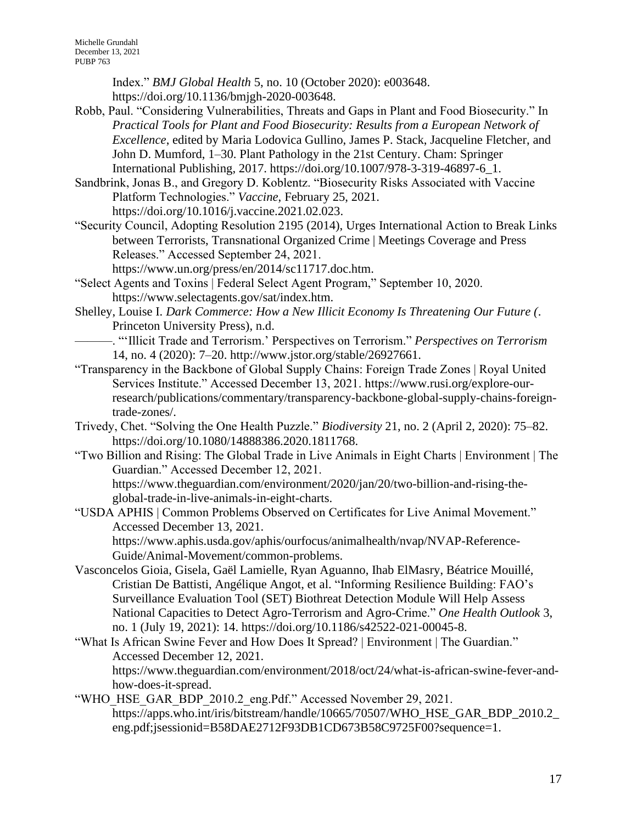Index." *BMJ Global Health* 5, no. 10 (October 2020): e003648. https://doi.org/10.1136/bmjgh-2020-003648.

- Robb, Paul. "Considering Vulnerabilities, Threats and Gaps in Plant and Food Biosecurity." In *Practical Tools for Plant and Food Biosecurity: Results from a European Network of Excellence*, edited by Maria Lodovica Gullino, James P. Stack, Jacqueline Fletcher, and John D. Mumford, 1–30. Plant Pathology in the 21st Century. Cham: Springer International Publishing, 2017. https://doi.org/10.1007/978-3-319-46897-6\_1.
- Sandbrink, Jonas B., and Gregory D. Koblentz. "Biosecurity Risks Associated with Vaccine Platform Technologies." *Vaccine*, February 25, 2021. https://doi.org/10.1016/j.vaccine.2021.02.023.
- "Security Council, Adopting Resolution 2195 (2014), Urges International Action to Break Links between Terrorists, Transnational Organized Crime | Meetings Coverage and Press Releases." Accessed September 24, 2021.
	- https://www.un.org/press/en/2014/sc11717.doc.htm.
- "Select Agents and Toxins | Federal Select Agent Program," September 10, 2020. https://www.selectagents.gov/sat/index.htm.
- Shelley, Louise I. *Dark Commerce: How a New Illicit Economy Is Threatening Our Future (*. Princeton University Press), n.d.
- ———. "'Illicit Trade and Terrorism.' Perspectives on Terrorism." *Perspectives on Terrorism* 14, no. 4 (2020): 7–20. http://www.jstor.org/stable/26927661.
- "Transparency in the Backbone of Global Supply Chains: Foreign Trade Zones | Royal United Services Institute." Accessed December 13, 2021. https://www.rusi.org/explore-ourresearch/publications/commentary/transparency-backbone-global-supply-chains-foreigntrade-zones/.
- Trivedy, Chet. "Solving the One Health Puzzle." *Biodiversity* 21, no. 2 (April 2, 2020): 75–82. https://doi.org/10.1080/14888386.2020.1811768.
- "Two Billion and Rising: The Global Trade in Live Animals in Eight Charts | Environment | The Guardian." Accessed December 12, 2021. https://www.theguardian.com/environment/2020/jan/20/two-billion-and-rising-the-

global-trade-in-live-animals-in-eight-charts.

"USDA APHIS | Common Problems Observed on Certificates for Live Animal Movement." Accessed December 13, 2021.

https://www.aphis.usda.gov/aphis/ourfocus/animalhealth/nvap/NVAP-Reference-Guide/Animal-Movement/common-problems.

- Vasconcelos Gioia, Gisela, Gaël Lamielle, Ryan Aguanno, Ihab ElMasry, Béatrice Mouillé, Cristian De Battisti, Angélique Angot, et al. "Informing Resilience Building: FAO's Surveillance Evaluation Tool (SET) Biothreat Detection Module Will Help Assess National Capacities to Detect Agro-Terrorism and Agro-Crime." *One Health Outlook* 3, no. 1 (July 19, 2021): 14. https://doi.org/10.1186/s42522-021-00045-8.
- "What Is African Swine Fever and How Does It Spread? | Environment | The Guardian." Accessed December 12, 2021. https://www.theguardian.com/environment/2018/oct/24/what-is-african-swine-fever-andhow-does-it-spread.
- "WHO\_HSE\_GAR\_BDP\_2010.2\_eng.Pdf." Accessed November 29, 2021. https://apps.who.int/iris/bitstream/handle/10665/70507/WHO\_HSE\_GAR\_BDP\_2010.2\_ eng.pdf;jsessionid=B58DAE2712F93DB1CD673B58C9725F00?sequence=1.